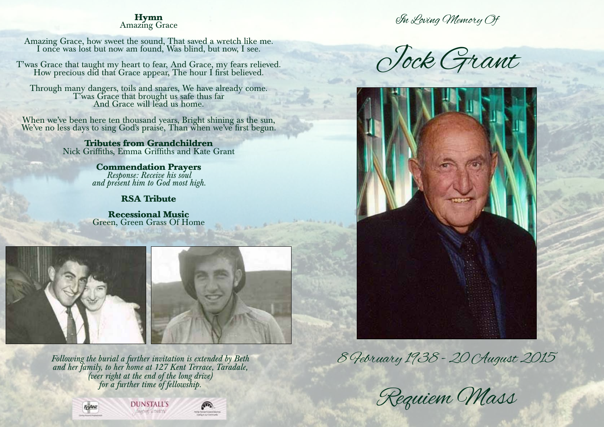# **Hymn** Amazing Grace

Amazing Grace, how sweet the sound, That saved a wretch like me. I once was lost but now am found, Was blind, but now, I see.

T'was Grace that taught my heart to fear, And Grace, my fears relieved. How precious did that Grace appear, The hour I first believed.

Through many dangers, toils and snares, We have already come. T'was Grace that brought us safe thus far And Grace will lead us home.

When we've been here ten thousand years, Bright shining as the sun, We've no less days to sing God's praise, Than when we've first begun.

> **Tributes from Grandchildren** Nick Griffiths, Emma Griffiths and Kate Grant

> > **Commendation Prayers** *Response: Receive his soul and present him to God most high.*

## **RSA Tribute**

**Recessional Music** Green, Green Grass Of Home





*Following the burial a further invitation is extended by Beth and her family, to her home at 127 Kent Terrace, Taradale, (veer right at the end of the long drive) for a further time of fellowship.*

**DUNSTALL'S** 







In Loving Memory Of

Jock Grant



8 February 1938 - 20 August 2015

Requiem Mass